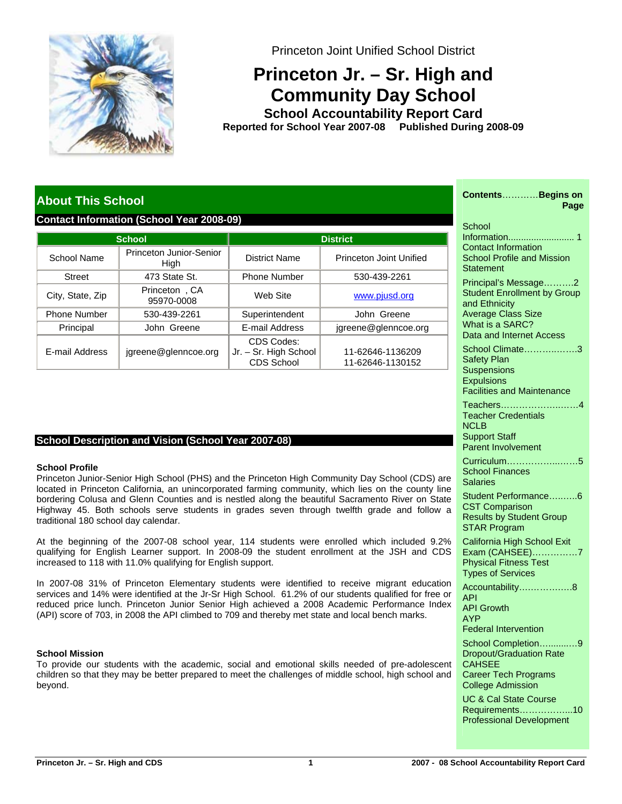

Princeton Joint Unified School District

# **Princeton Jr. – Sr. High and Community Day School**

**School Accountability Report Card School Year 2007-08 Published During 2008-09 Reported for**

# **About This School**

# **Contact Information (School Year 2008-09)**

|                       | School                                  | <b>District</b>                                   |                                      |  |  |  |
|-----------------------|-----------------------------------------|---------------------------------------------------|--------------------------------------|--|--|--|
| School Name           | Princeton Junior-Senior<br>High         | District Name                                     | Princeton Joint Unified              |  |  |  |
| <b>Street</b>         | 473 State St.                           | <b>Phone Number</b>                               | 530-439-2261                         |  |  |  |
| City, State, Zip      | Princeton, CA<br>Web Site<br>95970-0008 |                                                   | www.pjusd.org                        |  |  |  |
| <b>Phone Number</b>   | 530-439-2261                            | Superintendent                                    | John Greene                          |  |  |  |
| Principal             | John Greene                             |                                                   | jgreene@glenncoe.org                 |  |  |  |
| <b>E-mail Address</b> | igreene@glenncoe.org                    | CDS Codes:<br>Jr. - Sr. High School<br>CDS School | 11-62646-1136209<br>11-62646-1130152 |  |  |  |

# **School Description and Vision (School Year 2007-08)**

# **School Profile**

Princeton Junior-Senior High School (PHS) and the Princeton High Community Day School (CDS) are located in Princeton California, an unincorporated farming community, which lies on the county line bordering Colusa and Glenn Counties and is nestled along the beautiful Sacramento River on State Highway 45. Both schools serve students in grades seven through twelfth grade and follow a traditional 180 school day calendar.

At the beginning of the 2007-08 school year, 114 students were enrolled which included 9.2% qualifying for English Learner support. In 2008-09 the student enrollment at the JSH and CDS increased to 118 with 11.0% qualifying for English support.

In 2007-08 31% of Princeton Elementary students were identified to receive migrant education services and 14% were identified at the Jr-Sr High School. 61.2% of our students qualified for free or reduced price lunch. Princeton Junior Senior High achieved a 2008 Academic Performance Index (API) score of 703, in 2008 the API climbed to 709 and thereby met state and local bench marks.

# **School Mission**

To provide our students with the academic, social and emotional skills needed of pre-adolescent children so that they may be better prepared to meet the challenges of middle school, high school and beyond.

| ContentsBegins on<br>Page                                                                                                                               |
|---------------------------------------------------------------------------------------------------------------------------------------------------------|
| School<br><b>Contact Information</b><br><b>School Profile and Mission</b><br>Statement                                                                  |
| Principal's Message2<br><b>Student Enrollment by Group</b><br>and Ethnicity<br><b>Average Class Size</b><br>What is a SARC?<br>Data and Internet Access |
| School Climate3<br><b>Safety Plan</b><br><b>Suspensions</b><br><b>Expulsions</b><br><b>Facilities and Maintenance</b>                                   |
| Teachers4<br><b>Teacher Credentials</b><br><b>NCLB</b><br><b>Support Staff</b><br><b>Parent Involvement</b>                                             |
| Curriculum5<br><b>School Finances</b><br>Salaries                                                                                                       |
| Student Performance6<br><b>CST Comparison</b><br><b>Results by Student Group</b><br><b>STAR Program</b>                                                 |
| California High School Exit<br>Exam (CAHSEE)<br>. 7<br><b>Physical Fitness Test</b><br><b>Types of Services</b>                                         |
| Accountability8<br>API<br><b>API Growth</b><br><b>AYP</b>                                                                                               |
| <b>Federal Intervention</b><br>School Completion9<br><b>Dropout/Graduation Rate</b><br><b>CAHSEE</b>                                                    |
| <b>Career Tech Programs</b><br><b>College Admission</b>                                                                                                 |
| <b>UC &amp; Cal State Course</b><br>Requirements10<br><b>Professional Development</b>                                                                   |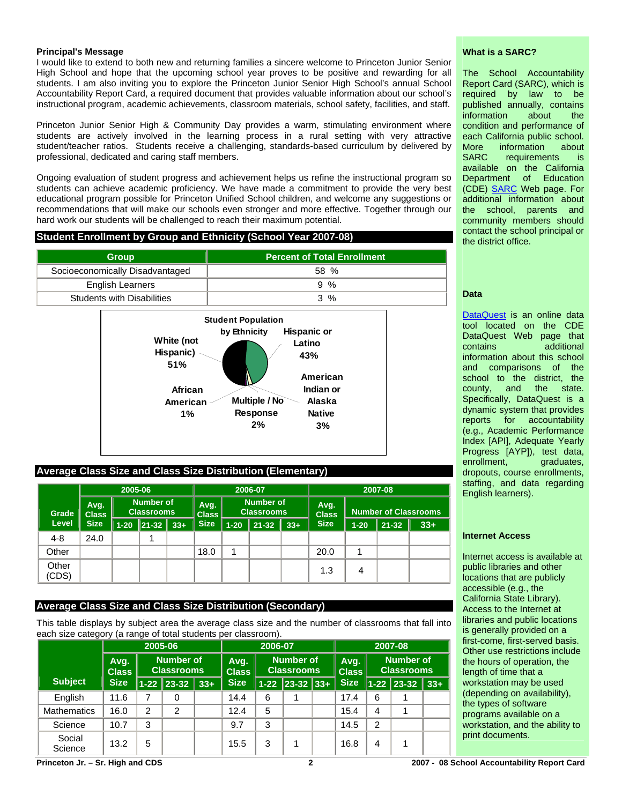#### **Principal's Message**

I would like to extend to both new and returning families a sincere welcome to Princeton Junior Senior High School and hope that the upcoming school year proves to be positive and rewarding for all students. I am also inviting you to explore the Princeton Junior Senior High School's annual School Accountability Report Card, a required document that provides valuable information about our school's instructional program, academic achievements, classroom materials, school safety, facilities, and staff.

Princeton Junior Senior High & Community Day provides a warm, stimulating environment where students are actively involved in the learning process in a rural setting with very attractive student/teacher ratios. Students receive a challenging, standards-based curriculum by delivered by professional, dedicated and caring staff members.

Ongoing evaluation of student progress and achievement helps us refine the instructional program so students can achieve academic proficiency. We have made a commitment to provide the very best educational program possible for Princeton Unified School children, and welcome any suggestions or recommendations that will make our schools even stronger and more effective. Together through our hard work our students will be challenged to reach their maximum potential.

# **Student Enrollment by Group and Ethnicity (School Year 2007-08)**

| <b>Group</b>                    | <b>Percent of Total Enrollment</b> |
|---------------------------------|------------------------------------|
| Socioeconomically Disadvantaged | 58 %                               |
| <b>English Learners</b>         | 9 %                                |
| Students with Disabilities      | $3\%$                              |



# **Average Class Size and Class Size Distribution (Elementary)**

|                | 2005-06              |                                |       |                                                               | 2006-07     |          |                      | 2007-08                     |             |          |           |          |
|----------------|----------------------|--------------------------------|-------|---------------------------------------------------------------|-------------|----------|----------------------|-----------------------------|-------------|----------|-----------|----------|
| Grade          | Avg.<br><b>Class</b> | Number of<br><b>Classrooms</b> |       | <b>Number of</b><br>Avg.<br><b>Classrooms</b><br><b>Class</b> |             |          | Avg.<br><b>Class</b> | <b>Number of Classrooms</b> |             |          |           |          |
| Level          | <b>Size</b>          | $1 - 20$                       | 21-32 | $33+$                                                         | <b>Size</b> | $1 - 20$ | $21 - 32$            | $33+$                       | <b>Size</b> | $1 - 20$ | $21 - 32$ | $33 + 1$ |
| $4 - 8$        | 24.0                 |                                |       |                                                               |             |          |                      |                             |             |          |           |          |
| Other          |                      |                                |       |                                                               | 18.0        | 1        |                      |                             | 20.0        |          |           |          |
| Other<br>(CDS) |                      |                                |       |                                                               |             |          |                      |                             | 1.3         | 4        |           |          |

# **Average Class Size and Class Size Distribution (Secondary)**

This table displays by subject area the average class size and the number of classrooms that fall into each size category (a range of total students per classroom).

|                    | 2005-06                                   |                |                  | 2006-07              |             |                                       |                  | 2007-08              |                                       |                |                           |          |
|--------------------|-------------------------------------------|----------------|------------------|----------------------|-------------|---------------------------------------|------------------|----------------------|---------------------------------------|----------------|---------------------------|----------|
|                    | Avg.<br><b>Classrooms</b><br><b>Class</b> |                | <b>Number of</b> | Avg.<br><b>Class</b> |             | <b>Number of</b><br><b>Classrooms</b> |                  | Avg.<br><b>Class</b> | <b>Number of</b><br><b>Classrooms</b> |                |                           |          |
| Subject            | <b>Size</b>                               |                | $1 - 22$ 23-32   | 33+                  | <b>Size</b> |                                       | $1-22$ 23-32 33+ |                      | <b>Size</b>                           |                | $\ $ 1-22 $\ $ 23-32 $\ $ | $33 + 1$ |
| English            | 11.6                                      | 7              | 0                |                      | 14.4        | 6                                     |                  |                      | 17.4                                  | 6              |                           |          |
| <b>Mathematics</b> | 16.0                                      | $\overline{c}$ | 2                |                      | 12.4        | 5                                     |                  |                      | 15.4                                  | $\overline{4}$ |                           |          |
| Science            | 10.7                                      | 3              |                  |                      | 9.7         | 3                                     |                  |                      | 14.5                                  | $\overline{2}$ |                           |          |
| Social<br>Science  | 13.2                                      | 5              |                  |                      | 15.5        | 3                                     |                  |                      | 16.8                                  | 4              |                           |          |

#### **What is a SARC?**

The School Accountability Report Card (SARC), which is required by law to be published annually, contains information about the condition and performance of each California public school. More information about SARC requirements is available on the California Department of (CDE) [SARC](http://www.cde.ca.gov/ta/ac/sa/) Web page. For additional information about the school, parents and community members should contact the school principal or the district office.

### **Data**

[DataQuest](http://dq.cde.ca.gov/dataquest/) is an online data tool located on the CDE DataQuest Web page that contains additional information about this school and comparisons of the school to the district, the county, and the state. Specifically, DataQuest is a dynamic system that provides reports for accountability (e.g., Academic Performance Index [API], Adequate Yearly Progress [AYP]), test data, enrollment, graduates, dropouts, course enrollments, staffing, and data regarding English learners).

#### **Internet Access**

Internet access is available at public libraries and other locations that are publicly accessible (e.g., the California State Library). Access to the Internet at libraries and public locations is generally provided on a first-come, first-served basis. Other use restrictions include the hours of operation, the length of time that a workstation may be used (depending on availability), the types of software programs available on a workstation, and the ability to print documents.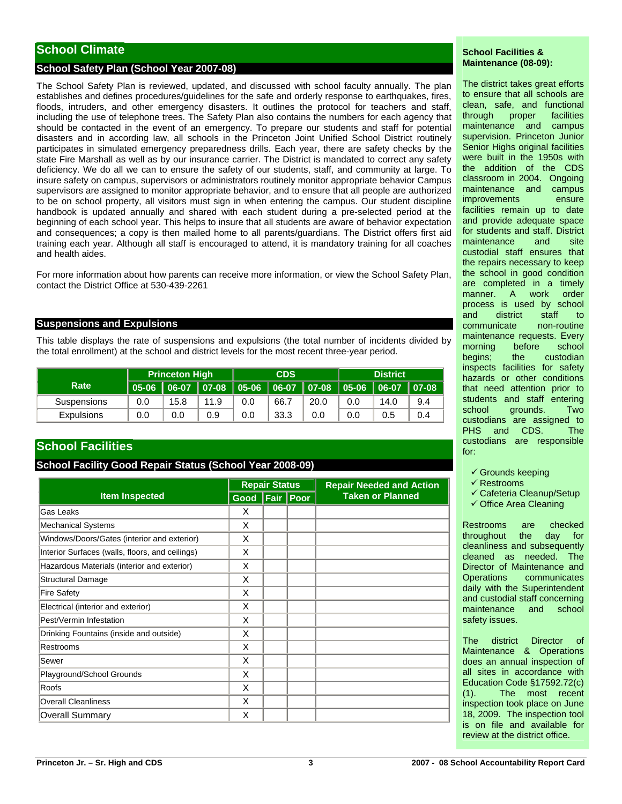# **School Climate**

# **School Safety Plan (School Year 2007-08)**

The School Safety Plan is reviewed, updated, and discussed with school faculty annually. The plan establishes and defines procedures/guidelines for the safe and orderly response to earthquakes, fires, floods, intruders, and other emergency disasters. It outlines the protocol for teachers and staff, including the use of telephone trees. The Safety Plan also contains the numbers for each agency that should be contacted in the event of an emergency. To prepare our students and staff for potential disasters and in according law, all schools in the Princeton Joint Unified School District routinely participates in simulated emergency preparedness drills. Each year, there are safety checks by the state Fire Marshall as well as by our insurance carrier. The District is mandated to correct any safety deficiency. We do all we can to ensure the safety of our students, staff, and community at large. To insure safety on campus, supervisors or administrators routinely monitor appropriate behavior Campus supervisors are assigned to monitor appropriate behavior, and to ensure that all people are authorized to be on school property, all visitors must sign in when entering the campus. Our student discipline handbook is updated annually and shared with each student during a pre-selected period at the beginning of each school year. This helps to insure that all students are aware of behavior expectation and consequences; a copy is then mailed home to all parents/guardians. The District offers first aid training each year. Although all staff is encouraged to attend, it is mandatory training for all coaches and health aides.

For more information about how parents can receive more information, or view the School Safety Plan, contact the District Office at 530-439-2261

#### **Suspensions and Expulsions**

This table displays the rate of suspensions and expulsions (the total number of incidents divided by the total enrollment) at the school and district levels for the most recent three-year period.

|                   | <b>Princeton High</b>                                          |      | <b>CDS</b> |     |      | <b>District</b> |     |      |     |
|-------------------|----------------------------------------------------------------|------|------------|-----|------|-----------------|-----|------|-----|
| Rate              | │05-06 │06-07 │07-08 │05-06 │06-07 │07-08 │05-06 │06-07 │07-08 |      |            |     |      |                 |     |      |     |
| Suspensions       | 0.0                                                            | 15.8 | 11.9       | 0.0 | 66.7 | 20.0            | 0.0 | 14.0 | 9.4 |
| <b>Expulsions</b> | 0.0                                                            | 0.0  | 0.9        | 0.0 | 33.3 | 0.0             | 0.0 | 0.5  | 0.4 |

# **School Facilities**

#### **School Facility Good Repair Status (School Year 2008-09)**

|                                                 |           | <b>Repair Status</b> |          | <b>Repair Needed and Action</b> |  |  |
|-------------------------------------------------|-----------|----------------------|----------|---------------------------------|--|--|
| <b>Item Inspected</b>                           | Good Fair |                      | $ $ Poor | <b>Taken or Planned</b>         |  |  |
| Gas Leaks                                       | X         |                      |          |                                 |  |  |
| <b>Mechanical Systems</b>                       | X         |                      |          |                                 |  |  |
| Windows/Doors/Gates (interior and exterior)     | X         |                      |          |                                 |  |  |
| Interior Surfaces (walls, floors, and ceilings) | X         |                      |          |                                 |  |  |
| Hazardous Materials (interior and exterior)     | X         |                      |          |                                 |  |  |
| <b>Structural Damage</b>                        | X         |                      |          |                                 |  |  |
| <b>Fire Safety</b>                              | X         |                      |          |                                 |  |  |
| Electrical (interior and exterior)              | X         |                      |          |                                 |  |  |
| Pest/Vermin Infestation                         | X         |                      |          |                                 |  |  |
| Drinking Fountains (inside and outside)         | X         |                      |          |                                 |  |  |
| Restrooms                                       | X         |                      |          |                                 |  |  |
| Sewer                                           | X         |                      |          |                                 |  |  |
| Playground/School Grounds                       | X         |                      |          |                                 |  |  |
| Roofs                                           | X         |                      |          |                                 |  |  |
| <b>Overall Cleanliness</b>                      | X         |                      |          |                                 |  |  |
| <b>Overall Summary</b>                          | X         |                      |          |                                 |  |  |

#### **School Facilities & Maintenance (08-09):**

The district takes great efforts to ensure that all schools are clean, safe, and functional through proper facilities maintenance and campus supervision. Princeton Junior Senior Highs original facilities were built in the 1950s with the addition of the CDS classroom in 2004. Ongoing maintenance and campus improvements ensure facilities remain up to date and provide adequate space for students and staff. District maintenance and site custodial staff ensures that the repairs necessary to keep the school in good condition are completed in a timely manner. A work order process is used by school and district staff to communicate non-routine maintenance requests. Every morning before school begins; the custodian inspects facilities for safety hazards or other conditions that need attention prior to students and staff entering school grounds. Two custodians are assigned to PHS and CDS. The custodians are responsible for:

- $\checkmark$  Grounds keeping
- $\checkmark$  Restrooms
- $\checkmark$  Cafeteria Cleanup/Setup
- $\checkmark$  Office Area Cleaning

Restrooms are checked throughout the day for cleanliness and subsequently cleaned as needed. The Director of Maintenance and Operations communicates daily with the Superintendent and custodial staff concerning maintenance and school safety issues.

The district Director of Maintenance & Operations does an annual inspection of all sites in accordance with Education Code §17592.72(c) (1). The most recent inspection took place on June 18, 2009. The inspection tool is on file and available for review at the district office.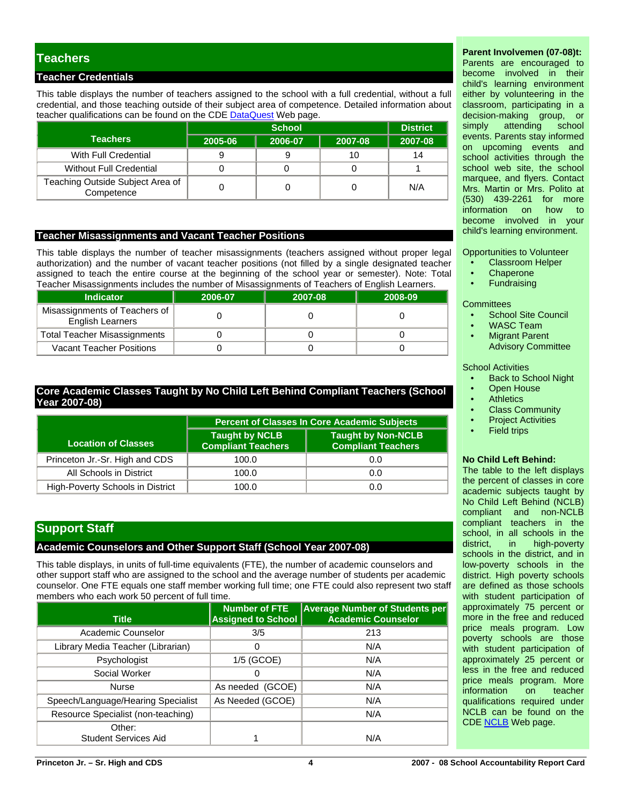# **Teachers**

# **Teacher Credentials**

This table displays the number of teachers assigned to the school with a full credential, without a full credential, and those teaching outside of their subject area of competence. Detailed information about teacher qualifications can be found on the CDE [DataQuest](http://dq.cde.ca.gov/dataquest/) Web page.

|                                                |         | <b>District</b> |         |         |
|------------------------------------------------|---------|-----------------|---------|---------|
| <b>Teachers</b>                                | 2005-06 | 2006-07         | 2007-08 | 2007-08 |
| With Full Credential                           |         |                 |         | 14      |
| <b>Without Full Credential</b>                 |         |                 |         |         |
| Teaching Outside Subject Area of<br>Competence |         |                 |         | N/A     |

#### **Teacher Misassignments and Vacant Teacher Positions**

This table displays the number of teacher misassignments (teachers assigned without proper legal authorization) and the number of vacant teacher positions (not filled by a single designated teacher assigned to teach the entire course at the beginning of the school year or semester). Note: Total Teacher Misassignments includes the number of Misassignments of Teachers of English Learners.

| I capitor microcolginitionito included the humbor of microcolginitionito or i capitole or English Ecampio. |         |         |         |  |  |  |  |
|------------------------------------------------------------------------------------------------------------|---------|---------|---------|--|--|--|--|
| <b>Indicator</b>                                                                                           | 2006-07 | 2007-08 | 2008-09 |  |  |  |  |
| Misassignments of Teachers of<br><b>English Learners</b>                                                   |         |         |         |  |  |  |  |
| <b>Total Teacher Misassignments</b>                                                                        |         |         |         |  |  |  |  |
| <b>Vacant Teacher Positions</b>                                                                            |         |         |         |  |  |  |  |

# **Core Academic Classes Taught by No Child Left Behind Compliant Teachers (School Year 2007-08)**

|                                  | <b>Percent of Classes In Core Academic Subjects</b> |                                                        |  |  |  |
|----------------------------------|-----------------------------------------------------|--------------------------------------------------------|--|--|--|
| Location of Classes              | Taught by NCLB<br><b>Compliant Teachers</b>         | <b>Taught by Non-NCLB</b><br><b>Compliant Teachers</b> |  |  |  |
| Princeton Jr.-Sr. High and CDS   | 100.0                                               | 0.0                                                    |  |  |  |
| All Schools in District          | 100.0                                               | 0.0                                                    |  |  |  |
| High-Poverty Schools in District | 100.0                                               | 0.0                                                    |  |  |  |

# **Support Staff**

# **Academic Counselors and Other Support Staff (School Year 2007-08)**

This table displays, in units of full-time equivalents (FTE), the number of academic counselors and other support staff who are assigned to the school and the average number of students per academic counselor. One FTE equals one staff member working full time; one FTE could also represent two staff members who each work 50 percent of full time.

| <b>Title</b>                       | <b>Number of FTE</b><br><b>Assigned to School</b> | <b>Average Number of Students per</b><br><b>Academic Counselor</b> |
|------------------------------------|---------------------------------------------------|--------------------------------------------------------------------|
| Academic Counselor                 | 3/5                                               | 213                                                                |
| Library Media Teacher (Librarian)  | 0                                                 | N/A                                                                |
| Psychologist                       | 1/5 (GCOE)                                        | N/A                                                                |
| Social Worker                      | 0                                                 | N/A                                                                |
| <b>Nurse</b>                       | As needed (GCOE)                                  | N/A                                                                |
| Speech/Language/Hearing Specialist | As Needed (GCOE)                                  | N/A                                                                |
| Resource Specialist (non-teaching) |                                                   | N/A                                                                |
| Other:                             |                                                   |                                                                    |
| <b>Student Services Aid</b>        |                                                   | N/A                                                                |

# **Parent Involvemen (07-08)t:**

Parents are encouraged to become involved in their child's learning environment either by volunteering in the classroom, participating in a decision-making group, or simply attending school events. Parents stay informed on upcoming events and school activities through the school web site, the school marquee, and flyers. Contact Mrs. Martin or Mrs. Polito at (530) 439-2261 for more information on become involved in your child's learning environment.

Opportunities to Volunteer

- Classroom Helper
- **Chaperone**
- **Fundraising**

**Committees** 

- School Site Council
- WASC Team
- **Migrant Parent** Advisory Committee

#### School Activities

- Back to School Night
- **Open House**
- **Athletics**
- Class Community
- **Project Activities**
- **Field trips**

#### **No Child Left Behind:**

The table to the left displays the percent of classes in core academic subjects taught by No Child Left Behind (NCLB) compliant and non-NCLB compliant teachers in the school, in all schools in the district, in high-poverty schools in the district, and in low-poverty schools in the district. High poverty schools are defined as those schools with student participation of approximately 75 percent or more in the free and reduced price meals program. Low poverty schools are those with student participation of approximately 25 percent or less in the free and reduced price meals program. More information on teacher qualifications required under NCLB can be found on the CDE [NCLB](http://www.cde.ca.gov/nclb/sr/tq/) Web page.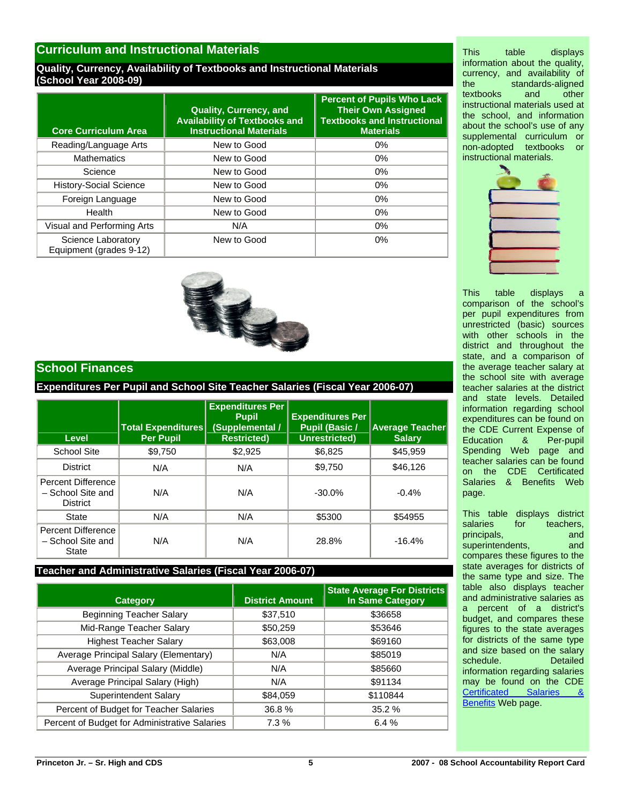# **Curriculum and Instructional Materials**

#### **Quality, Currency, Availability of Textbooks and Instructional Materials (School Year 2008-09)**

| <b>Core Curriculum Area</b>                   | Quality, Currency, and<br><b>Availability of Textbooks and</b><br><b>Instructional Materials</b> | <b>Percent of Pupils Who Lack</b><br><b>Their Own Assigned</b><br><b>Textbooks and Instructional</b><br><b>Materials</b> |
|-----------------------------------------------|--------------------------------------------------------------------------------------------------|--------------------------------------------------------------------------------------------------------------------------|
| Reading/Language Arts                         | New to Good                                                                                      | $0\%$                                                                                                                    |
| <b>Mathematics</b>                            | New to Good                                                                                      | 0%                                                                                                                       |
| Science                                       | New to Good                                                                                      | 0%                                                                                                                       |
| <b>History-Social Science</b>                 | New to Good                                                                                      | 0%                                                                                                                       |
| Foreign Language                              | New to Good                                                                                      | 0%                                                                                                                       |
| Health                                        | New to Good                                                                                      | 0%                                                                                                                       |
| Visual and Performing Arts                    | N/A                                                                                              | 0%                                                                                                                       |
| Science Laboratory<br>Equipment (grades 9-12) | New to Good                                                                                      | 0%                                                                                                                       |



# **School Finances**

# **Expenditures Per Pupil and School Site Teacher Salaries (Fiscal Year 2006-07)**

| Level                                                      | <b>Total Expenditures</b><br><b>Per Pupil</b> | <b>Expenditures Per</b><br><b>Pupil</b><br>(Supplemental /<br><b>Restricted)</b> | <b>Expenditures Per</b><br><b>Pupil (Basic /</b><br>Unrestricted) | <b>Average Teacher</b><br><b>Salary</b> |
|------------------------------------------------------------|-----------------------------------------------|----------------------------------------------------------------------------------|-------------------------------------------------------------------|-----------------------------------------|
| School Site                                                | \$9,750                                       | \$2,925                                                                          | \$6.825                                                           | \$45,959                                |
| <b>District</b>                                            | N/A                                           | N/A                                                                              | \$9.750                                                           | \$46,126                                |
| Percent Difference<br>- School Site and<br><b>District</b> | N/A                                           | N/A                                                                              | $-30.0\%$                                                         | $-0.4%$                                 |
| State                                                      | N/A                                           | N/A                                                                              | \$5300                                                            | \$54955                                 |
| Percent Difference<br>- School Site and<br>State           | N/A                                           | N/A                                                                              | 28.8%                                                             | $-16.4%$                                |

#### **Teacher and Administrative Salaries (Fiscal Year 2006-07)**

| <b>Category</b>                               | <b>District Amount</b> | <b>State Average For Districts</b><br><b>In Same Category</b> |
|-----------------------------------------------|------------------------|---------------------------------------------------------------|
| <b>Beginning Teacher Salary</b>               | \$37,510               | \$36658                                                       |
| Mid-Range Teacher Salary                      | \$50,259               | \$53646                                                       |
| <b>Highest Teacher Salary</b>                 | \$63,008               | \$69160                                                       |
| Average Principal Salary (Elementary)         | N/A                    | \$85019                                                       |
| Average Principal Salary (Middle)             | N/A                    | \$85660                                                       |
| Average Principal Salary (High)               | N/A                    | \$91134                                                       |
| Superintendent Salary                         | \$84,059               | \$110844                                                      |
| Percent of Budget for Teacher Salaries        | 36.8%                  | 35.2 %                                                        |
| Percent of Budget for Administrative Salaries | 7.3%                   | 6.4%                                                          |

This table displays information about the quality, currency, and availability of the standards-aligned<br>textbooks and other textbooks and other instructional materials used at the school, and information about the school's use of any supplemental curriculum or non-adopted textbooks or instructional materials.



This table displays a comparison of the school's per pupil expenditures from unrestricted (basic) sources with other schools in the district and throughout the state, and a comparison of the average teacher salary at the school site with average teacher salaries at the district and state levels. Detailed information regarding school expenditures can be found on the CDE Current Expense of Education & Per-pupil Spending Web page and teacher salaries can be found on the CDE Certificated Salaries & Benefits Web page.

This table displays district<br>salaries for teachers, for teachers, principals, and superintendents, and compares these figures to the state averages for districts of the same type and size. The table also displays teacher and administrative salaries as a percent of a district's budget, and compares these figures to the state averages for districts of the same type and size based on the salary schedule. Detailed information regarding salaries may be found on the CDE [Certificated Salaries &](http://www.cde.ca.gov/ds/fd/cs/)  [Benefits](http://www.cde.ca.gov/ds/fd/cs/) Web page.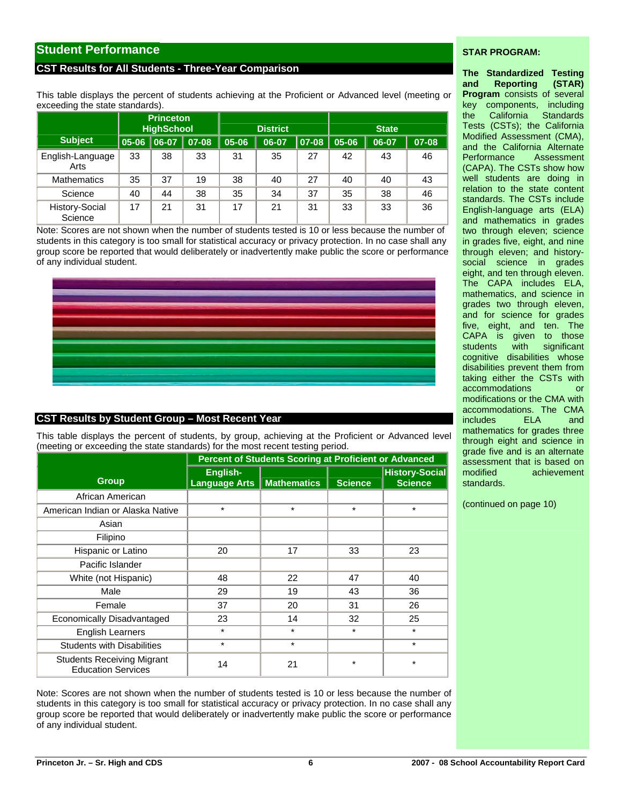# **Student Performance**

#### **CST Results for All Students - Three-Year Comparison**

This table displays the percent of students achieving at the Proficient or Advanced level (meeting or exceeding the state standards).

|                           | <b>Princeton</b>  |          |       |       |                 |          |              |       |       |  |
|---------------------------|-------------------|----------|-------|-------|-----------------|----------|--------------|-------|-------|--|
|                           | <b>HighSchool</b> |          |       |       | <b>District</b> |          | <b>State</b> |       |       |  |
| <b>Subject</b>            | 05-06             | $ 06-07$ | 07-08 | 05-06 | 06-07           | $ 07-08$ | 05-06        | 06-07 | 07-08 |  |
| English-Language<br>Arts  | 33                | 38       | 33    | 31    | 35              | 27       | 42           | 43    | 46    |  |
| <b>Mathematics</b>        | 35                | 37       | 19    | 38    | 40              | 27       | 40           | 40    | 43    |  |
| Science                   | 40                | 44       | 38    | 35    | 34              | 37       | 35           | 38    | 46    |  |
| History-Social<br>Science | 17                | 21       | 31    | 17    | 21              | 31       | 33           | 33    | 36    |  |

Note: Scores are not shown when the number of students tested is 10 or less because the number of students in this category is too small for statistical accuracy or privacy protection. In no case shall any group score be reported that would deliberately or inadvertently make public the score or performance of any individual student.



# **CST Results by Student Group – Most Recent Year**

This table displays the percent of students, by group, achieving at the Proficient or Advanced level (meeting or exceeding the state standards) for the most recent testing period.

|                                                                | Percent of Students Scoring at Proficient or Advanced |                    |                |                                         |  |  |  |  |  |  |
|----------------------------------------------------------------|-------------------------------------------------------|--------------------|----------------|-----------------------------------------|--|--|--|--|--|--|
| <b>Group</b>                                                   | English-<br><b>Language Arts</b>                      | <b>Mathematics</b> | <b>Science</b> | <b>History-Social</b><br><b>Science</b> |  |  |  |  |  |  |
| African American                                               |                                                       |                    |                |                                         |  |  |  |  |  |  |
| American Indian or Alaska Native                               | $\star$                                               | $\star$            | $\star$        | $\star$                                 |  |  |  |  |  |  |
| Asian                                                          |                                                       |                    |                |                                         |  |  |  |  |  |  |
| Filipino                                                       |                                                       |                    |                |                                         |  |  |  |  |  |  |
| Hispanic or Latino                                             | 20                                                    | 17                 | 33             | 23                                      |  |  |  |  |  |  |
| Pacific Islander                                               |                                                       |                    |                |                                         |  |  |  |  |  |  |
| White (not Hispanic)                                           | 48                                                    | 22                 | 47             | 40                                      |  |  |  |  |  |  |
| Male                                                           | 29                                                    | 19                 | 43             | 36                                      |  |  |  |  |  |  |
| Female                                                         | 37                                                    | 20                 | 31             | 26                                      |  |  |  |  |  |  |
| Economically Disadvantaged                                     | 23                                                    | 14                 | 32             | 25                                      |  |  |  |  |  |  |
| <b>English Learners</b>                                        | $\star$                                               | $\star$            | $\star$        | $\star$                                 |  |  |  |  |  |  |
| <b>Students with Disabilities</b>                              | $\star$                                               | $\star$            |                | $\star$                                 |  |  |  |  |  |  |
| <b>Students Receiving Migrant</b><br><b>Education Services</b> | 14                                                    | 21                 | *              | $\star$                                 |  |  |  |  |  |  |

Note: Scores are not shown when the number of students tested is 10 or less because the number of students in this category is too small for statistical accuracy or privacy protection. In no case shall any group score be reported that would deliberately or inadvertently make public the score or performance of any individual student.

#### **STAR PROGRAM:**

**The Standardized Testing and Reporting (STAR) Program** consists of several key components, including the California Standards Tests (CSTs); the California Modified Assessment (CMA), and the California Alternate Performance Assessment (CAPA). The CSTs show how well students are doing in relation to the state content standards. The CSTs include English-language arts (ELA) and mathematics in grades two through eleven; science in grades five, eight, and nine through eleven; and historysocial science in grades eight, and ten through eleven. The CAPA includes ELA, mathematics, and science in grades two through eleven, and for science for grades five, eight, and ten. The CAPA is given to those students with significant cognitive disabilities whose disabilities prevent them from taking either the CSTs with accommodations or modifications or the CMA with accommodations. The CMA includes ELA and mathematics for grades three through eight and science in grade five and is an alternate assessment that is based on modified achievement standards.

(continued on page 10)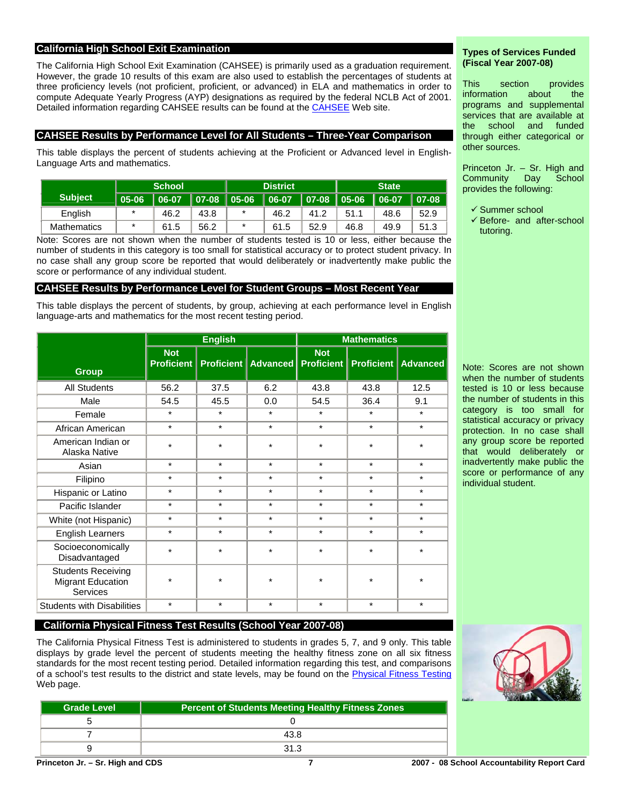# **California High School Exit Examination**

The California High School Exit Examination (CAHSEE) is primarily used as a graduation requirement. However, the grade 10 results of this exam are also used to establish the percentages of students at three proficiency levels (not proficient, proficient, or advanced) in ELA and mathematics in order to compute Adequate Yearly Progress (AYP) designations as required by the federal NCLB Act of 2001. Detailed information regarding [CAHSEE](http://cahsee.cde.ca.gov/) results can be found at the **CAHSEE** Web site.

### **CAHSEE Results by Performance Level for All Students – Three-Year Comparison**

This table displays the percent of students achieving at the Proficient or Advanced level in English-Language Arts and mathematics.

|                      | <b>School</b>     |                           |      | <b>District</b> |           | <b>State</b>    |      |           |           |
|----------------------|-------------------|---------------------------|------|-----------------|-----------|-----------------|------|-----------|-----------|
| Subject <sup>1</sup> | $\parallel$ 05-06 | │ 06-07 │ 07-08 │ 05-06 │ |      |                 | $  06-07$ | ∣ 07-08 ∣ 05-06 |      | $  06-07$ | $ 07-08 $ |
| English              | $\star$           | 46.2                      | 43.8 | $\ast$          | 46.2      | 41.2            | 51.1 | 48.6      | 52.9      |
| <b>Mathematics</b>   | $\star$           | 61.5                      | 56.2 | *               | 61.5      | 52.9            | 46.8 | 49.9      | 51.3      |

Note: Scores are not shown when the number of students tested is 10 or less, either because the number of students in this category is too small for statistical accuracy or to protect student privacy. In no case shall any group score be reported that would deliberately or inadvertently make public the score or performance of any individual student.

### **CAHSEE Results by Performance Level for Student Groups – Most Recent Year**

This table displays the percent of students, by group, achieving at each performance level in English language-arts and mathematics for the most recent testing period.

|                                                                          |                                 | <b>English</b> |                                           | <b>Mathematics</b> |         |                              |  |  |
|--------------------------------------------------------------------------|---------------------------------|----------------|-------------------------------------------|--------------------|---------|------------------------------|--|--|
| <b>Group</b>                                                             | <b>Not</b><br><b>Proficient</b> |                | <b>Proficient   Advanced   Proficient</b> | <b>Not</b>         |         | <b>Proficient   Advanced</b> |  |  |
| <b>All Students</b>                                                      | 56.2                            | 37.5           | 6.2                                       | 43.8               | 43.8    | 12.5                         |  |  |
| Male                                                                     | 54.5                            | 45.5           | 0.0                                       | 54.5               | 36.4    | 9.1                          |  |  |
| Female                                                                   | $\star$                         | $\star$        | $\star$                                   | $\star$            | $\star$ | $\star$                      |  |  |
| African American                                                         | $\star$                         | $\star$        | $\star$                                   | $\star$            | $\star$ | $\star$                      |  |  |
| American Indian or<br>Alaska Native                                      | $\star$                         | $\star$        | $\star$                                   | $\star$            | $\star$ | $\star$                      |  |  |
| Asian                                                                    | $\star$                         | $\star$        | $\star$                                   | $\star$            | $\star$ | $\star$                      |  |  |
| Filipino                                                                 | $\star$                         | $\star$        | $\star$                                   | $\star$            | $\star$ | $\star$                      |  |  |
| Hispanic or Latino                                                       | $\star$                         | $\star$        | $\star$                                   | $\star$            | $\star$ | $\star$                      |  |  |
| Pacific Islander                                                         | $\star$                         | $\star$        | $\star$                                   | $\star$            | *       | $\star$                      |  |  |
| White (not Hispanic)                                                     | $\star$                         | $\star$        | $\star$                                   | $\star$            | $\star$ | $\star$                      |  |  |
| <b>English Learners</b>                                                  | $\star$                         | $\star$        | $\star$                                   | $\star$            | $\star$ | $\star$                      |  |  |
| Socioeconomically<br>Disadvantaged                                       | $\star$                         | $\star$        | $\star$                                   | $\star$            | $\star$ | $\star$                      |  |  |
| <b>Students Receiving</b><br><b>Migrant Education</b><br><b>Services</b> | $\star$                         | $\star$        | $\star$                                   | $\star$            | $\star$ | $\star$                      |  |  |
| <b>Students with Disabilities</b>                                        | $\star$                         | $\star$        | $\star$                                   | $\star$            | $\star$ | $\star$                      |  |  |

#### **Types of Services Funded (Fiscal Year 2007-08)**

This section provides information about the programs and supplemental services that are available at the school and funded through either categorical or other sources.

Princeton Jr. – Sr. High and Community Day School provides the following:

- $\checkmark$  Summer school
- $\checkmark$  Before- and after-school tutoring.

Note: Scores are not shown when the number of students tested is 10 or less because the number of students in this category is too small for statistical accuracy or privacy protection. In no case shall any group score be reported that would deliberately or inadvertently make public the score or performance of any individual student.

# **California Physical Fitness Test Results (School Year 2007-08)**

The California Physical Fitness Test is administered to students in grades 5, 7, and 9 only. This table displays by grade level the percent of students meeting the healthy fitness zone on all six fitness standards for the most recent testing period. Detailed information regarding this test, and comparisons of a school's test results to the district and state levels, may be found on the [Physical Fitness Testing](http://www.cde.ca.gov/ta/tg/pf/) Web page.

| <b>Grade Level</b> | <b>Percent of Students Meeting Healthy Fitness Zones</b> |
|--------------------|----------------------------------------------------------|
|                    |                                                          |
|                    | 43.8                                                     |
|                    | 31.3                                                     |

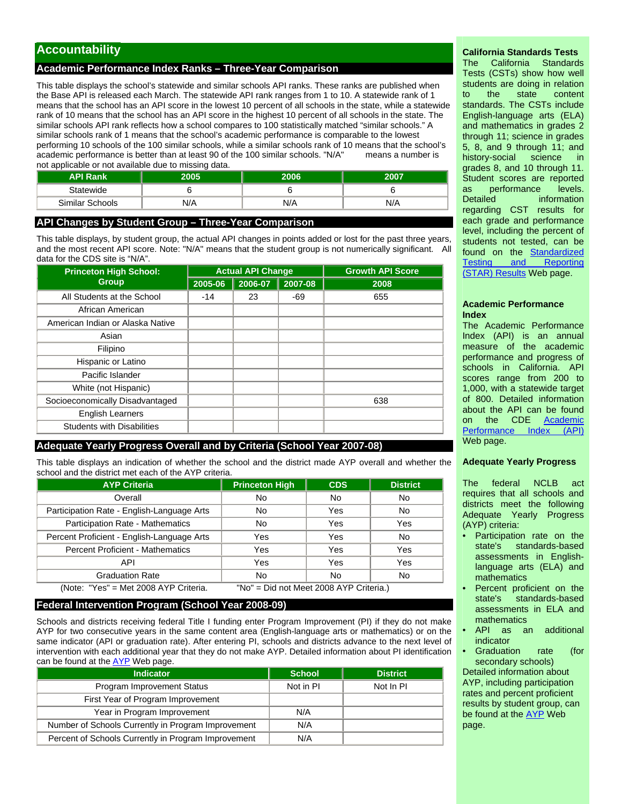# **Accountability**

### **Academic Performance Index Ranks – Three-Year Comparison**

This table displays the school's statewide and similar schools API ranks. These ranks are published when the Base API is released each March. The statewide API rank ranges from 1 to 10. A statewide rank of 1 means that the school has an API score in the lowest 10 percent of all schools in the state, while a statewide rank of 10 means that the school has an API score in the highest 10 percent of all schools in the state. The similar schools API rank reflects how a school compares to 100 statistically matched "similar schools." A similar schools rank of 1 means that the school's academic performance is comparable to the lowest performing 10 schools of the 100 similar schools, while a similar schools rank of 10 means that the school's academic performance is better than at least 90 of the 100 similar schools. "N/A" means a number is not applicable or not available due to missing data.

| <b>API Rank</b> | 1005 | 2006 | 2007 |
|-----------------|------|------|------|
| Statewide       |      |      |      |
| Similar Schools | N/A  | N/A  | N/A  |

### **API Changes by Student Group – Three-Year Comparison**

This table displays, by student group, the actual API changes in points added or lost for the past three years, and the most recent API score. Note: "N/A" means that the student group is not numerically significant. All data for the CDS site is "N/A".

| <b>Princeton High School:</b>     |         | <b>Actual API Change</b> |         | <b>Growth API Score</b> |  |  |
|-----------------------------------|---------|--------------------------|---------|-------------------------|--|--|
| <b>Group</b>                      | 2005-06 | 2006-07                  | 2007-08 | 2008                    |  |  |
| All Students at the School        | $-14$   | 23                       | $-69$   | 655                     |  |  |
| African American                  |         |                          |         |                         |  |  |
| American Indian or Alaska Native  |         |                          |         |                         |  |  |
| Asian                             |         |                          |         |                         |  |  |
| Filipino                          |         |                          |         |                         |  |  |
| Hispanic or Latino                |         |                          |         |                         |  |  |
| Pacific Islander                  |         |                          |         |                         |  |  |
| White (not Hispanic)              |         |                          |         |                         |  |  |
| Socioeconomically Disadvantaged   |         |                          |         | 638                     |  |  |
| <b>English Learners</b>           |         |                          |         |                         |  |  |
| <b>Students with Disabilities</b> |         |                          |         |                         |  |  |

# **Adequate Yearly Progress Overall and by Criteria (School Year 2007-08)**

This table displays an indication of whether the school and the district made AYP overall and whether the school and the district met each of the AYP criteria.

| <b>AYP Criteria</b>                        | <b>Princeton High</b>                   | <b>CDS</b> | <b>District</b> |
|--------------------------------------------|-----------------------------------------|------------|-----------------|
| Overall                                    | No                                      | No         | No              |
| Participation Rate - English-Language Arts | No                                      | Yes        | No              |
| Participation Rate - Mathematics           | No                                      | Yes        | Yes             |
| Percent Proficient - English-Language Arts | Yes                                     | Yes        | No              |
| <b>Percent Proficient - Mathematics</b>    | Yes                                     | Yes        | Yes             |
| API                                        | Yes                                     | Yes        | Yes             |
| <b>Graduation Rate</b>                     | No                                      | No         | No              |
| (Note: "Yes" = Met 2008 AYP Criteria.      | "No" = Did not Meet 2008 AYP Criteria.) |            |                 |

#### **Federal Intervention Program (School Year 2008-09)**

Schools and districts receiving federal Title I funding enter Program Improvement (PI) if they do not make AYP for two consecutive years in the same content area (English-language arts or mathematics) or on the same indicator (API or graduation rate). After entering PI, schools and districts advance to the next level of intervention with each additional year that they do not make AYP. Detailed information about PI identification can be found at the  $\overline{AYP}$  Web page.

| <b>Indicator</b>                                    | <b>School</b> | <b>District</b> |
|-----------------------------------------------------|---------------|-----------------|
| Program Improvement Status                          | Not in PI     | Not In PI       |
| First Year of Program Improvement                   |               |                 |
| Year in Program Improvement                         | N/A           |                 |
| Number of Schools Currently in Program Improvement  | N/A           |                 |
| Percent of Schools Currently in Program Improvement | N/A           |                 |

# **California Standards Tests**

The California Standards Tests (CSTs) show how well students are doing in relation to the state content standards. The CSTs include English-language arts (ELA) and mathematics in grades 2 through 11; science in grades 5, 8, and 9 through 11; and history-social science in grades 8, and 10 through 11. Student scores are reported as performance levels. Detailed **information** regarding CST results for each grade and performance level, including the percent of students not tested, can be found on the [Standardized](http://star.cde.ca.gov/)  [Testing and Reporting](http://star.cde.ca.gov/)  [\(STAR\) Results](http://star.cde.ca.gov/) Web page.

#### **Academic Performance Index**

The Academic Performance Index (API) is an annual measure of the academic performance and progress of schools in California. API scores range from 200 to 1,000, with a statewide target of 800. Detailed information about the API can be found on the CDE [Academic](http://www.cde.ca.gov/ta/ac/ap/)  [Performance Index \(API\)](http://www.cde.ca.gov/ta/ac/ap/) Web page.

#### **Adequate Yearly Progress**

The federal NCLB act requires that all schools and districts meet the following Adequate Yearly Progress (AYP) criteria:

- Participation rate on the state's standards-based assessments in Englishlanguage arts (ELA) and mathematics
- Percent proficient on the state's standards-based assessments in ELA and mathematics
- API as an additional indicator
- Graduation rate (for secondary schools)

Detailed information about AYP, including participation rates and percent proficient results by student group, can be found at the [AYP](http://www.cde.ca.gov/ta/ac/ay/) Web page.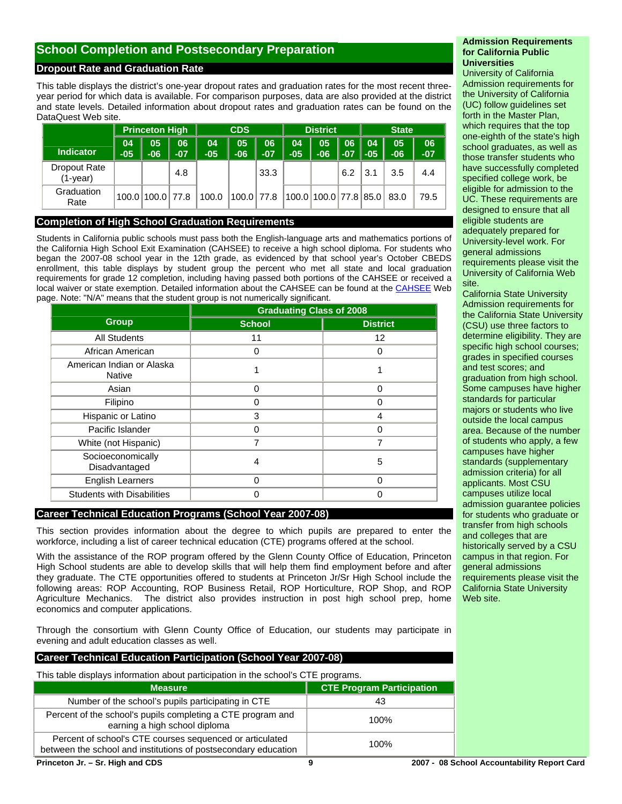# **School Completion and Postsecondary Preparation**

# **Dropout Rate and Graduation Rate**

This table displays the district's one-year dropout rates and graduation rates for the most recent threeyear period for which data is available. For comparison purposes, data are also provided at the district and state levels. Detailed information about dropout rates and graduation rates can be found on the DataQuest Web site.

|                          | <b>CDS</b><br><b>Princeton High</b> |                  |             | <b>District</b> |              |             | <b>State</b> |                       |             |             |             |             |
|--------------------------|-------------------------------------|------------------|-------------|-----------------|--------------|-------------|--------------|-----------------------|-------------|-------------|-------------|-------------|
| <b>Indicator</b>         | 04<br>$-05$                         | 05<br>$-06$      | 06<br>$-07$ | 04<br>$-05$     | 05<br>$-06$  | 06<br>$-07$ | 04<br>$-05$  | 05<br>$-06$           | 06<br>$-07$ | 04<br>$-05$ | 05<br>$-06$ | 06<br>$-07$ |
| Dropout Rate<br>(1-year) |                                     |                  | 4.8         |                 |              | 33.3        |              |                       | 6.2         | 3.1         | 3.5         | 4.4         |
| Graduation<br>Rate       |                                     | 100.0 100.0 77.8 |             | 100.0           | $100.0$ 77.8 |             |              | 100.0 100.0 77.8 85.0 |             |             | 83.0        | 79.5        |

#### **Completion of High School Graduation Requirements**

Students in California public schools must pass both the English-language arts and mathematics portions of the California High School Exit Examination (CAHSEE) to receive a high school diploma. For students who began the 2007-08 school year in the 12th grade, as evidenced by that school year's October CBEDS enrollment, this table displays by student group the percent who met all state and local graduation requirements for grade 12 completion, including having passed both portions of the CAHSEE or received a local waiver or state exemption. Detailed information about the CAHSEE can be found at the [CAHSEE](http://www.cde.ca.gov/ta/tg/hs/) Web page. Note: "N/A" means that the student group is not numerically significant.

|                                     | <b>Graduating Class of 2008</b> |                 |
|-------------------------------------|---------------------------------|-----------------|
| <b>Group</b>                        | <b>School</b>                   | <b>District</b> |
| <b>All Students</b>                 | 11                              | 12              |
| African American                    | 0                               | 0               |
| American Indian or Alaska<br>Native |                                 |                 |
| Asian                               | 0                               | $\Omega$        |
| Filipino                            | ი                               | ი               |
| Hispanic or Latino                  | 3                               | 4               |
| Pacific Islander                    | ი                               | O               |
| White (not Hispanic)                | 7                               | 7               |
| Socioeconomically<br>Disadvantaged  | 4                               | 5               |
| <b>English Learners</b>             | 0                               | U               |
| <b>Students with Disabilities</b>   |                                 |                 |

# **Career Technical Education Programs (School Year 2007-08)**

This section provides information about the degree to which pupils are prepared to enter the workforce, including a list of career technical education (CTE) programs offered at the school.

With the assistance of the ROP program offered by the Glenn County Office of Education, Princeton High School students are able to develop skills that will help them find employment before and after they graduate. The CTE opportunities offered to students at Princeton Jr/Sr High School include the following areas: ROP Accounting, ROP Business Retail, ROP Horticulture, ROP Shop, and ROP Agriculture Mechanics. The district also provides instruction in post high school prep, home economics and computer applications.

Through the consortium with Glenn County Office of Education, our students may participate in evening and adult education classes as well.

#### **Career Technical Education Participation (School Year 2007-08)**

This table displays information about participation in the school's CTE programs.

| <b>Measure</b>                                                                                                             | <b>CTE Program Participation</b> |
|----------------------------------------------------------------------------------------------------------------------------|----------------------------------|
| Number of the school's pupils participating in CTE                                                                         | 43                               |
| Percent of the school's pupils completing a CTE program and<br>earning a high school diploma                               | 100%                             |
| Percent of school's CTE courses sequenced or articulated<br>between the school and institutions of postsecondary education | 100%                             |
| .                                                                                                                          | <br>-                            |

#### **Admission Requirements for California Public Universities**

University of California Admission requirements for the University of California (UC) follow guidelines set forth in the Master Plan, which requires that the top one-eighth of the state's high school graduates, as well as those transfer students who have successfully completed specified college work, be eligible for admission to the UC. These requirements are designed to ensure that all eligible students are adequately prepared for University-level work. For general admissions requirements please visit the University of California Web site.

California State University Admission requirements for the California State University (CSU) use three factors to determine eligibility. They are specific high school courses; grades in specified courses and test scores; and graduation from high school. Some campuses have higher standards for particular majors or students who live outside the local campus area. Because of the number of students who apply, a few campuses have higher standards (supplementary admission criteria) for all applicants. Most CSU campuses utilize local admission guarantee policies for students who graduate or transfer from high schools and colleges that are historically served by a CSU campus in that region. For general admissions requirements please visit the California State University Web site.